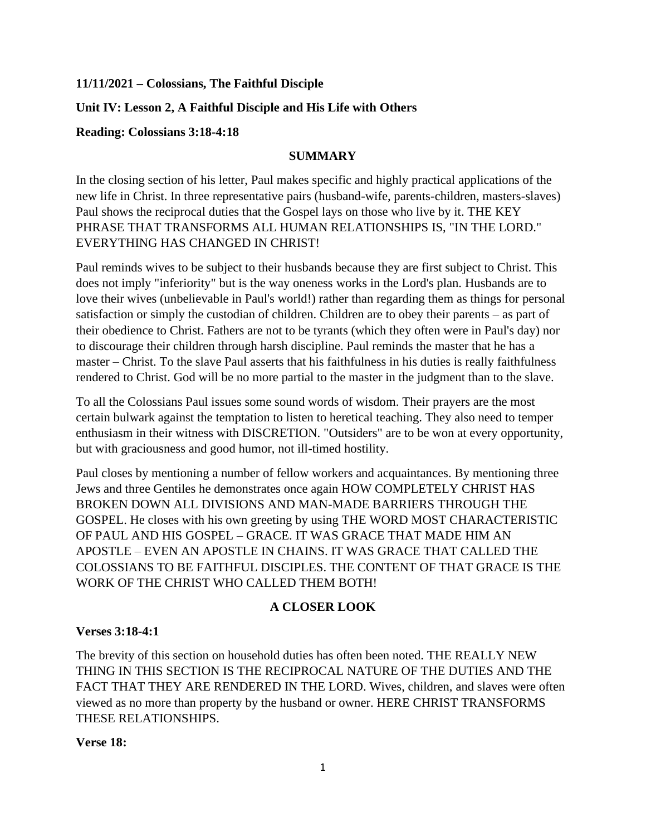### **11/11/2021 – Colossians, The Faithful Disciple**

### **Unit IV: Lesson 2, A Faithful Disciple and His Life with Others**

#### **Reading: Colossians 3:18-4:18**

#### **SUMMARY**

In the closing section of his letter, Paul makes specific and highly practical applications of the new life in Christ. In three representative pairs (husband-wife, parents-children, masters-slaves) Paul shows the reciprocal duties that the Gospel lays on those who live by it. THE KEY PHRASE THAT TRANSFORMS ALL HUMAN RELATIONSHIPS IS, "IN THE LORD." EVERYTHING HAS CHANGED IN CHRIST!

Paul reminds wives to be subject to their husbands because they are first subject to Christ. This does not imply "inferiority" but is the way oneness works in the Lord's plan. Husbands are to love their wives (unbelievable in Paul's world!) rather than regarding them as things for personal satisfaction or simply the custodian of children. Children are to obey their parents – as part of their obedience to Christ. Fathers are not to be tyrants (which they often were in Paul's day) nor to discourage their children through harsh discipline. Paul reminds the master that he has a master – Christ. To the slave Paul asserts that his faithfulness in his duties is really faithfulness rendered to Christ. God will be no more partial to the master in the judgment than to the slave.

To all the Colossians Paul issues some sound words of wisdom. Their prayers are the most certain bulwark against the temptation to listen to heretical teaching. They also need to temper enthusiasm in their witness with DISCRETION. "Outsiders" are to be won at every opportunity, but with graciousness and good humor, not ill-timed hostility.

Paul closes by mentioning a number of fellow workers and acquaintances. By mentioning three Jews and three Gentiles he demonstrates once again HOW COMPLETELY CHRIST HAS BROKEN DOWN ALL DIVISIONS AND MAN-MADE BARRIERS THROUGH THE GOSPEL. He closes with his own greeting by using THE WORD MOST CHARACTERISTIC OF PAUL AND HIS GOSPEL – GRACE. IT WAS GRACE THAT MADE HIM AN APOSTLE – EVEN AN APOSTLE IN CHAINS. IT WAS GRACE THAT CALLED THE COLOSSIANS TO BE FAITHFUL DISCIPLES. THE CONTENT OF THAT GRACE IS THE WORK OF THE CHRIST WHO CALLED THEM BOTH!

### **A CLOSER LOOK**

#### **Verses 3:18-4:1**

The brevity of this section on household duties has often been noted. THE REALLY NEW THING IN THIS SECTION IS THE RECIPROCAL NATURE OF THE DUTIES AND THE FACT THAT THEY ARE RENDERED IN THE LORD. Wives, children, and slaves were often viewed as no more than property by the husband or owner. HERE CHRIST TRANSFORMS THESE RELATIONSHIPS.

#### **Verse 18:**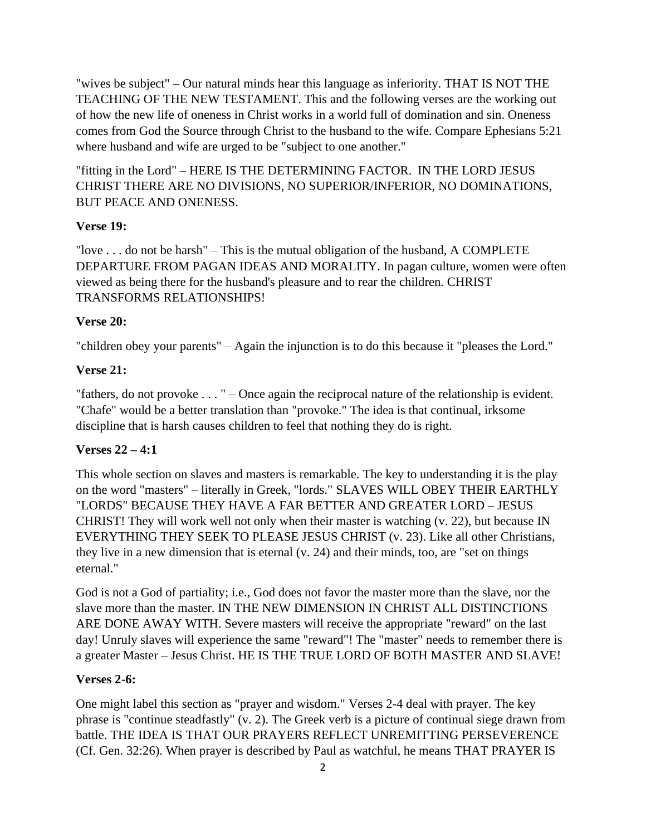"wives be subject" – Our natural minds hear this language as inferiority. THAT IS NOT THE TEACHING OF THE NEW TESTAMENT. This and the following verses are the working out of how the new life of oneness in Christ works in a world full of domination and sin. Oneness comes from God the Source through Christ to the husband to the wife. Compare Ephesians 5:21 where husband and wife are urged to be "subject to one another."

"fitting in the Lord" – HERE IS THE DETERMINING FACTOR. IN THE LORD JESUS CHRIST THERE ARE NO DIVISIONS, NO SUPERIOR/INFERIOR, NO DOMINATIONS, BUT PEACE AND ONENESS.

## **Verse 19:**

"love  $\dots$  do not be harsh" – This is the mutual obligation of the husband, A COMPLETE DEPARTURE FROM PAGAN IDEAS AND MORALITY. In pagan culture, women were often viewed as being there for the husband's pleasure and to rear the children. CHRIST TRANSFORMS RELATIONSHIPS!

# **Verse 20:**

"children obey your parents" – Again the injunction is to do this because it "pleases the Lord."

# **Verse 21:**

"fathers, do not provoke . . . " – Once again the reciprocal nature of the relationship is evident. "Chafe" would be a better translation than "provoke." The idea is that continual, irksome discipline that is harsh causes children to feel that nothing they do is right.

# **Verses 22 – 4:1**

This whole section on slaves and masters is remarkable. The key to understanding it is the play on the word "masters" – literally in Greek, "lords." SLAVES WILL OBEY THEIR EARTHLY "LORDS" BECAUSE THEY HAVE A FAR BETTER AND GREATER LORD – JESUS CHRIST! They will work well not only when their master is watching (v. 22), but because IN EVERYTHING THEY SEEK TO PLEASE JESUS CHRIST (v. 23). Like all other Christians, they live in a new dimension that is eternal (v. 24) and their minds, too, are "set on things eternal."

God is not a God of partiality; i.e., God does not favor the master more than the slave, nor the slave more than the master. IN THE NEW DIMENSION IN CHRIST ALL DISTINCTIONS ARE DONE AWAY WITH. Severe masters will receive the appropriate "reward" on the last day! Unruly slaves will experience the same "reward"! The "master" needs to remember there is a greater Master – Jesus Christ. HE IS THE TRUE LORD OF BOTH MASTER AND SLAVE!

# **Verses 2-6:**

One might label this section as "prayer and wisdom." Verses 2-4 deal with prayer. The key phrase is "continue steadfastly" (v. 2). The Greek verb is a picture of continual siege drawn from battle. THE IDEA IS THAT OUR PRAYERS REFLECT UNREMITTING PERSEVERENCE (Cf. Gen. 32:26). When prayer is described by Paul as watchful, he means THAT PRAYER IS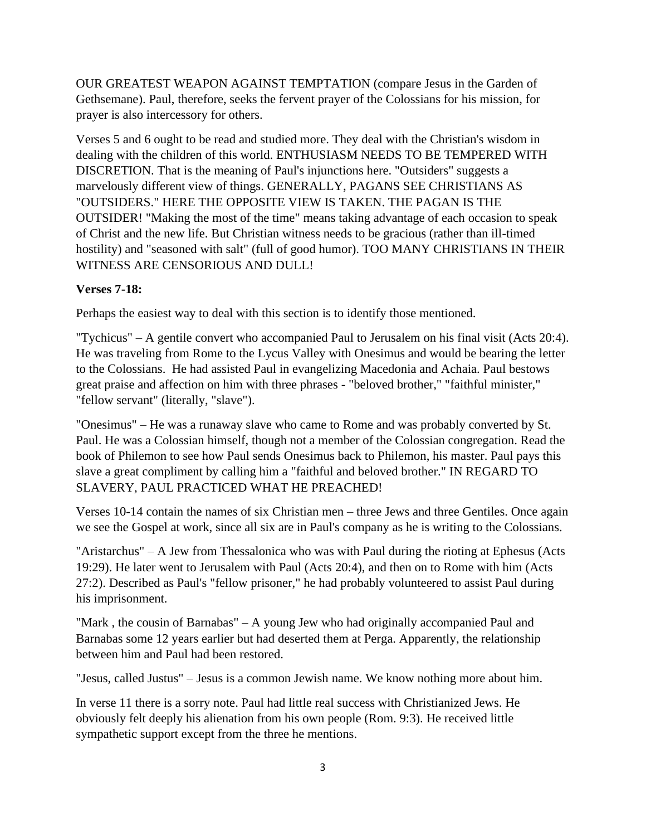OUR GREATEST WEAPON AGAINST TEMPTATION (compare Jesus in the Garden of Gethsemane). Paul, therefore, seeks the fervent prayer of the Colossians for his mission, for prayer is also intercessory for others.

Verses 5 and 6 ought to be read and studied more. They deal with the Christian's wisdom in dealing with the children of this world. ENTHUSIASM NEEDS TO BE TEMPERED WITH DISCRETION. That is the meaning of Paul's injunctions here. "Outsiders" suggests a marvelously different view of things. GENERALLY, PAGANS SEE CHRISTIANS AS "OUTSIDERS." HERE THE OPPOSITE VIEW IS TAKEN. THE PAGAN IS THE OUTSIDER! "Making the most of the time" means taking advantage of each occasion to speak of Christ and the new life. But Christian witness needs to be gracious (rather than ill-timed hostility) and "seasoned with salt" (full of good humor). TOO MANY CHRISTIANS IN THEIR WITNESS ARE CENSORIOUS AND DULL!

## **Verses 7-18:**

Perhaps the easiest way to deal with this section is to identify those mentioned.

"Tychicus" – A gentile convert who accompanied Paul to Jerusalem on his final visit (Acts 20:4). He was traveling from Rome to the Lycus Valley with Onesimus and would be bearing the letter to the Colossians. He had assisted Paul in evangelizing Macedonia and Achaia. Paul bestows great praise and affection on him with three phrases - "beloved brother," "faithful minister," "fellow servant" (literally, "slave").

"Onesimus" – He was a runaway slave who came to Rome and was probably converted by St. Paul. He was a Colossian himself, though not a member of the Colossian congregation. Read the book of Philemon to see how Paul sends Onesimus back to Philemon, his master. Paul pays this slave a great compliment by calling him a "faithful and beloved brother." IN REGARD TO SLAVERY, PAUL PRACTICED WHAT HE PREACHED!

Verses 10-14 contain the names of six Christian men – three Jews and three Gentiles. Once again we see the Gospel at work, since all six are in Paul's company as he is writing to the Colossians.

"Aristarchus" – A Jew from Thessalonica who was with Paul during the rioting at Ephesus (Acts 19:29). He later went to Jerusalem with Paul (Acts 20:4), and then on to Rome with him (Acts 27:2). Described as Paul's "fellow prisoner," he had probably volunteered to assist Paul during his imprisonment.

"Mark , the cousin of Barnabas" – A young Jew who had originally accompanied Paul and Barnabas some 12 years earlier but had deserted them at Perga. Apparently, the relationship between him and Paul had been restored.

"Jesus, called Justus" – Jesus is a common Jewish name. We know nothing more about him.

In verse 11 there is a sorry note. Paul had little real success with Christianized Jews. He obviously felt deeply his alienation from his own people (Rom. 9:3). He received little sympathetic support except from the three he mentions.